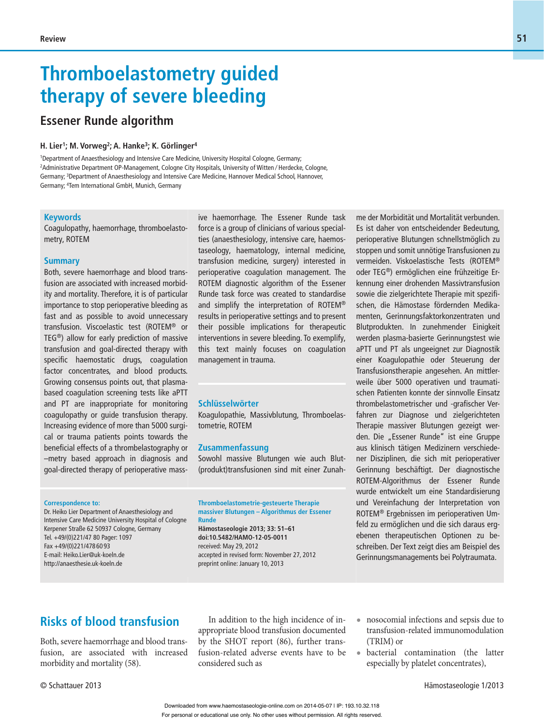# **Thromboelastometry guided therapy of severe bleeding**

# **Essener Runde algorithm**

#### **H. Lier1; M. Vorweg2; A. Hanke3; K. Görlinger4**

1 Department of Anaesthesiology and Intensive Care Medicine, University Hospital Cologne, Germany; 2 Administrative Department OP-Management, Cologne City Hospitals, University of Witten ⁄ Herdecke, Cologne, Germany; <sup>3</sup>Department of Anaesthesiology and Intensive Care Medicine, Hannover Medical School, Hannover, Germany; 4 Tem International GmbH, Munich, Germany

#### **Keywords**

Coagulopathy, haemorrhage, thromboelastometry, ROTEM

#### **Summary**

Both, severe haemorrhage and blood transfusion are associated with increased morbidity and mortality. Therefore, it is of particular importance to stop perioperative bleeding as fast and as possible to avoid unnecessary transfusion. Viscoelastic test (ROTEM® or TEG®) allow for early prediction of massive transfusion and goal-directed therapy with specific haemostatic drugs, coagulation factor concentrates, and blood products. Growing consensus points out, that plasmabased coagulation screening tests like aPTT and PT are inappropriate for monitoring coagulopathy or guide transfusion therapy. Increasing evidence of more than 5000 surgical or trauma patients points towards the beneficial effects of a thrombelastography or –metry based approach in diagnosis and goal-directed therapy of perioperative massive haemorrhage. The Essener Runde task force is a group of clinicians of various specialties (anaesthesiology, intensive care, haemostaseology, haematology, internal medicine, transfusion medicine, surgery) interested in perioperative coagulation management. The ROTEM diagnostic algorithm of the Essener Runde task force was created to standardise and simplify the interpretation of ROTEM® results in perioperative settings and to present their possible implications for therapeutic interventions in severe bleeding. To exemplify, this text mainly focuses on coagulation management in trauma.

#### **Schlüsselwörter**

Koagulopathie, Massivblutung, Thromboelastometrie, ROTEM

#### **Zusammenfassung**

Sowohl massive Blutungen wie auch Blut-(produkt)transfusionen sind mit einer Zunah-

#### **Correspondence to:**

Dr. Heiko Lier Department of Anaesthesiology and Intensive Care Medicine University Hospital of Cologne Kerpener Straße 62 50937 Cologne, Germany Tel. +49/(0)221/47 80 Pager: 1097 Fax +49/(0)221/478 60 93 E-mail: Heiko.Lier@uk-koeln.de http://anaesthesie.uk-koeln.de

**Thromboelastometrie-gesteuerte Therapie massiver Blutungen – Algorithmus der Essener Runde Hämostaseologie 2013; 33: 51–61**

**doi:10.5482/HAMO-12-05-0011** received: May 29, 2012 accepted in revised form: November 27, 2012 preprint online: January 10, 2013

me der Morbidität und Mortalität verbunden. Es ist daher von entscheidender Bedeutung, perioperative Blutungen schnellstmöglich zu stoppen und somit unnötige Transfusionen zu vermeiden. Viskoelastische Tests (ROTEM® oder TEG®) ermöglichen eine frühzeitige Erkennung einer drohenden Massivtransfusion sowie die zielgerichtete Therapie mit spezifischen, die Hämostase fördernden Medikamenten, Gerinnungsfaktorkonzentraten und Blutprodukten. In zunehmender Einigkeit werden plasma-basierte Gerinnungstest wie aPTT und PT als ungeeignet zur Diagnostik einer Koagulopathie oder Steuerung der Transfusionstherapie angesehen. An mittlerweile über 5000 operativen und traumatischen Patienten konnte der sinnvolle Einsatz thrombelastometrischer und -grafischer Verfahren zur Diagnose und zielgerichteten Therapie massiver Blutungen gezeigt werden. Die "Essener Runde" ist eine Gruppe aus klinisch tätigen Medizinern verschiedener Disziplinen, die sich mit perioperativer Gerinnung beschäftigt. Der diagnostische ROTEM-Algorithmus der Essener Runde wurde entwickelt um eine Standardisierung und Vereinfachung der Interpretation von ROTEM® Ergebnissen im perioperativen Umfeld zu ermöglichen und die sich daraus ergebenen therapeutischen Optionen zu beschreiben. Der Text zeigt dies am Beispiel des Gerinnungsmanagements bei Polytraumata.

## **Risks of blood transfusion**

Both, severe haemorrhage and blood transfusion, are associated with increased morbidity and mortality (58).

In addition to the high incidence of inappropriate blood transfusion documented by the SHOT report (86), further transfusion-related adverse events have to be considered such as

- **•** nosocomial infections and sepsis due to transfusion-related immunomodulation (TRIM) or
- **•** bacterial contamination (the latter especially by platelet concentrates),

© Schattauer 2013 Hämostaseologie 1/2013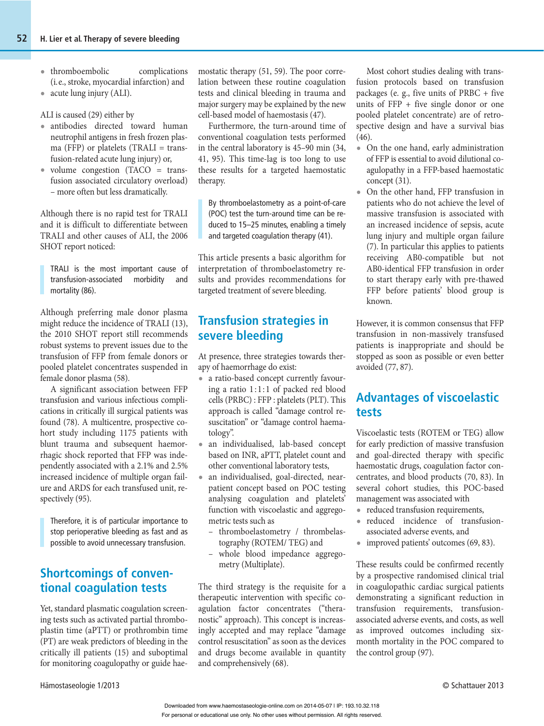- thromboembolic complications (i. e., stroke, myocardial infarction) and
- **•** acute lung injury (ALI).

ALI is caused (29) either by

- **•** antibodies directed toward human neutrophil antigens in fresh frozen plasma (FFP) or platelets (TRALI = transfusion-related acute lung injury) or,
- volume congestion (TACO = transfusion associated circulatory overload) – more often but less dramatically.

Although there is no rapid test for TRALI and it is difficult to differentiate between TRALI and other causes of ALI, the 2006 SHOT report noticed:

TRALI is the most important cause of transfusion- associated morbidity and mortality (86).

Although preferring male donor plasma might reduce the incidence of TRALI (13), the 2010 SHOT report still recommends robust systems to prevent issues due to the transfusion of FFP from female donors or pooled platelet concentrates suspended in female donor plasma (58).

A significant association between FFP transfusion and various infectious complications in critically ill surgical patients was found (78). A multicentre, prospective cohort study including 1175 patients with blunt trauma and subsequent haemorrhagic shock reported that FFP was independently associated with a 2.1% and 2.5% increased incidence of multiple organ failure and ARDS for each transfused unit, respectively (95).

Therefore, it is of particular importance to stop perioperative bleeding as fast and as possible to avoid unnecessary transfusion.

# **Shortcomings of conventional coagulation tests**

Yet, standard plasmatic coagulation screening tests such as activated partial thromboplastin time (aPTT) or prothrombin time (PT) are weak predictors of bleeding in the critically ill patients (15) and suboptimal for monitoring coagulopathy or guide haemostatic therapy (51, 59). The poor correlation between these routine coagulation tests and clinical bleeding in trauma and major surgery may be explained by the new cell-based model of haemostasis (47).

Furthermore, the turn-around time of conventional coagulation tests performed in the central laboratory is 45–90 min (34, 41, 95). This time-lag is too long to use these results for a targeted haemostatic therapy.

By thromboelastometry as a point-of-care (POC) test the turn-around time can be reduced to 15–25 minutes, enabling a timely and targeted coagulation therapy (41).

This article presents a basic algorithm for interpretation of thromboelastometry results and provides recommendations for targeted treatment of severe bleeding.

# **Transfusion strategies in severe bleeding**

At presence, three strategies towards therapy of haemorrhage do exist:

- **•** a ratio-based concept currently favouring a ratio  $1:1:1$  of packed red blood cells (PRBC) : FFP : platelets (PLT). This approach is called "damage control resuscitation" or "damage control haematology".
- **•** an individualised, lab-based concept based on INR, aPTT, platelet count and other conventional laboratory tests,
- **•** an individualised, goal-directed, nearpatient concept based on POC testing analysing coagulation and platelets' function with viscoelastic and aggregometric tests such as
	- thromboelastometry / thrombelastography (ROTEM/ TEG) and
	- whole blood impedance aggregometry (Multiplate).

The third strategy is the requisite for a therapeutic intervention with specific coagulation factor concentrates ("theranostic" approach). This concept is increasingly accepted and may replace "damage control resuscitation" as soon as the devices and drugs become available in quantity and comprehensively (68).

Most cohort studies dealing with transfusion protocols based on transfusion packages (e. g., five units of PRBC + five units of FFP + five single donor or one pooled platelet concentrate) are of retrospective design and have a survival bias  $(46)$ .

- **•** On the one hand, early administration of FFP is essential to avoid dilutional coagulopathy in a FFP-based haemostatic concept (31).
- **•** On the other hand, FFP transfusion in patients who do not achieve the level of massive transfusion is associated with an increased incidence of sepsis, acute lung injury and multiple organ failure (7). In particular this applies to patients receiving AB0-compatible but not AB0-identical FFP transfusion in order to start therapy early with pre-thawed FFP before patients' blood group is known.

However, it is common consensus that FFP transfusion in non-massively transfused patients is inappropriate and should be stopped as soon as possible or even better avoided (77, 87).

# **Advantages of viscoelastic tests**

Viscoelastic tests (ROTEM or TEG) allow for early prediction of massive transfusion and goal-directed therapy with specific haemostatic drugs, coagulation factor concentrates, and blood products (70, 83). In several cohort studies, this POC-based management was associated with

- **•** reduced transfusion requirements,
- **•** reduced incidence of transfusion associated adverse events, and
- **•** improved patients' outcomes (69, 83).

These results could be confirmed recently by a prospective randomised clinical trial in coagulopathic cardiac surgical patients demonstrating a significant reduction in transfusion requirements, transfusion associated adverse events, and costs, as well as improved outcomes including sixmonth mortality in the POC compared to the control group (97).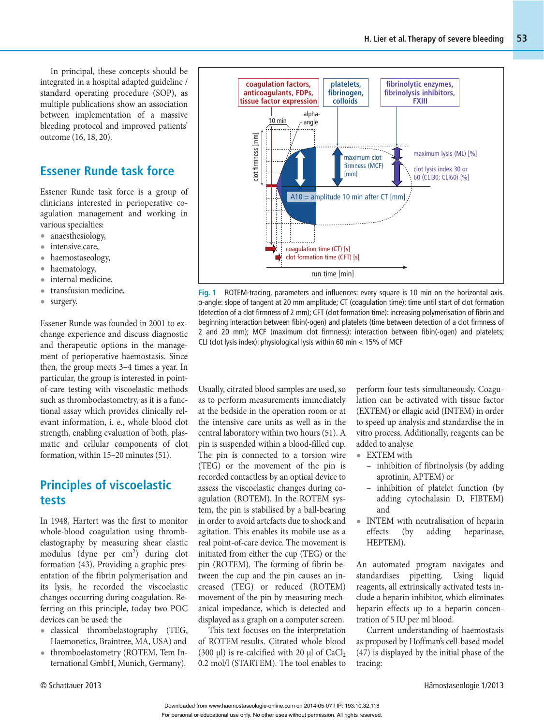In principal, these concepts should be integrated in a hospital adapted guideline / standard operating procedure (SOP), as multiple publications show an association between implementation of a massive bleeding protocol and improved patients' outcome (16, 18, 20).

## **Essener Runde task force**

Essener Runde task force is a group of clinicians interested in perioperative coagulation management and working in various specialties:

- **•** anaesthesiology,
- **•** intensive care,
- haemostaseology,
- **•** haematology,
- **•** internal medicine,
- **•** transfusion medicine,
- **•** surgery.

 Essener Runde was founded in 2001 to exchange experience and discuss diagnostic and therapeutic options in the management of perioperative haemostasis. Since then, the group meets 3–4 times a year. In particular, the group is interested in pointof-care testing with viscoelastic methods such as thromboelastometry, as it is a functional assay which provides clinically relevant information, i. e., whole blood clot strength, enabling evaluation of both, plasmatic and cellular components of clot formation, within 15–20 minutes (51).

## **Principles of viscoelastic tests**

In 1948, Hartert was the first to monitor whole-blood coagulation using thrombelastography by measuring shear elastic modulus (dyne per cm<sup>2</sup>) during clot formation (43). Providing a graphic presentation of the fibrin polymerisation and its lysis, he recorded the viscoelastic changes occurring during coagulation. Referring on this principle, today two POC devices can be used: the

- **•** classical thrombelastography (TEG, Haemonetics, Braintree, MA, USA) and
- **•** thromboelastometry (ROTEM, Tem International GmbH, Munich, Germany).



**Fig. 1** ROTEM-tracing, parameters and influences: every square is 10 min on the horizontal axis. α-angle: slope of tangent at 20 mm amplitude; CT (coagulation time): time until start of clot formation (detection of a clot firmness of 2 mm); CFT (clot formation time): increasing polymerisation of fibrin and beginning interaction between fibin(-ogen) and platelets (time between detection of a clot firmness of 2 and 20 mm); MCF (maximum clot firmness): interaction between fibin(-ogen) and platelets; CLI (clot lysis index): physiological lysis within 60 min < 15% of MCF

Usually, citrated blood samples are used, so as to perform measurements immediately at the bedside in the operation room or at the intensive care units as well as in the central laboratory within two hours (51). A pin is suspended within a blood-filled cup. The pin is connected to a torsion wire (TEG) or the movement of the pin is recorded contactless by an optical device to assess the viscoelastic changes during coagulation (ROTEM). In the ROTEM system, the pin is stabilised by a ball-bearing in order to avoid artefacts due to shock and agitation. This enables its mobile use as a real point-of-care device. The movement is initiated from either the cup (TEG) or the pin (ROTEM). The forming of fibrin between the cup and the pin causes an increased (TEG) or reduced (ROTEM) movement of the pin by measuring mechanical impedance, which is detected and displayed as a graph on a computer screen.

This text focuses on the interpretation of ROTEM results. Citrated whole blood (300  $\mu$ l) is re-calcified with 20  $\mu$ l of CaCl<sub>2</sub> 0.2 mol/l (STARTEM). The tool enables to perform four tests simultaneously. Coagulation can be activated with tissue factor (EXTEM) or ellagic acid (INTEM) in order to speed up analysis and standardise the in vitro process. Additionally, reagents can be added to analyse

- **•** EXTEM with
	- inhibition of fibrinolysis (by adding aprotinin, APTEM) or
	- inhibition of platelet function (by adding cytochalasin D, FIBTEM) and
- INTEM with neutralisation of heparin effects (by adding heparinase, effects (by adding heparinase, HEPTEM).

An automated program navigates and standardises pipetting. Using liquid reagents, all extrinsically activated tests include a heparin inhibitor, which eliminates heparin effects up to a heparin concentration of 5 IU per ml blood.

Current understanding of haemostasis as proposed by Hoffman's cell-based model (47) is displayed by the initial phase of the tracing: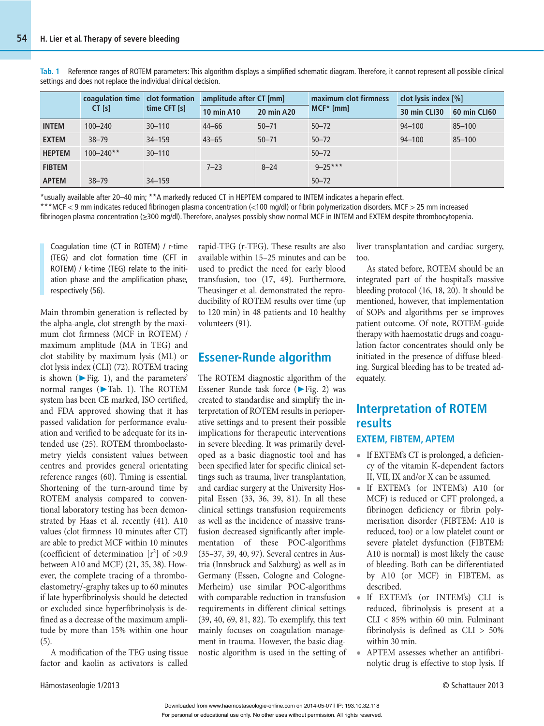|               | coagulation time<br>$CT$ [s] | clot formation<br>time CFT [s] | amplitude after CT [mm] |                   | maximum clot firmness | clot lysis index [%] |              |
|---------------|------------------------------|--------------------------------|-------------------------|-------------------|-----------------------|----------------------|--------------|
|               |                              |                                | <b>10 min A10</b>       | <b>20 min A20</b> | $MCF*[mm]$            | 30 min CLI30         | 60 min CLI60 |
| <b>INTEM</b>  | $100 - 240$                  | $30 - 110$                     | $44 - 66$               | $50 - 71$         | $50 - 72$             | $94 - 100$           | $85 - 100$   |
| <b>EXTEM</b>  | $38 - 79$                    | $34 - 159$                     | $43 - 65$               | $50 - 71$         | $50 - 72$             | $94 - 100$           | $85 - 100$   |
| <b>HEPTEM</b> | $100 - 240**$                | $30 - 110$                     |                         |                   | $50 - 72$             |                      |              |
| <b>FIBTEM</b> |                              |                                | $7 - 23$                | $8 - 24$          | $9 - 25***$           |                      |              |
| <b>APTEM</b>  | $38 - 79$                    | $34 - 159$                     |                         |                   | $50 - 72$             |                      |              |

**Tab. 1** Reference ranges of ROTEM parameters: This algorithm displays a simplified schematic diagram. Therefore, it cannot represent all possible clinical settings and does not replace the individual clinical decision.

\*usually available after 20–40 min; \*\*A markedly reduced CT in HEPTEM compared to INTEM indicates a heparin effect. **•** \*\*\*MCF < 9 mm indicates reduced fibrinogen plasma concentration (<100 mg/dl) or fibrin polymerization disorders. MCF > 25 mm increased

fibrinogen plasma concentration (≥300 mg/dl). Therefore, analyses possibly show normal MCF in INTEM and EXTEM despite thrombocytopenia.

Coagulation time (CT in ROTEM) / r-time (TEG) and clot formation time (CFT in ROTEM) / k-time (TEG) relate to the initiation phase and the amplification phase, respectively (56).

Main thrombin generation is reflected by the alpha-angle, clot strength by the maximum clot firmness (MCF in ROTEM) / maximum amplitude (MA in TEG) and clot stability by maximum lysis (ML) or clot lysis index (CLI) (72). ROTEM tracing is shown ( $\blacktriangleright$  Fig. 1), and the parameters' normal ranges ( $\blacktriangleright$  Tab. 1). The ROTEM system has been CE marked, ISO certified, and FDA approved showing that it has passed validation for performance evaluation and verified to be adequate for its intended use (25). ROTEM thromboelastometry yields consistent values between centres and provides general orientating reference ranges (60). Timing is essential. Shortening of the turn-around time by ROTEM analysis compared to conventional laboratory testing has been demonstrated by Haas et al. recently (41). A10 values (clot firmness 10 minutes after CT) are able to predict MCF within 10 minutes (coefficient of determination  $[r^2]$  of  $>0.9$ between A10 and MCF) (21, 35, 38). However, the complete tracing of a thromboelastometry/-graphy takes up to 60 minutes if late hyperfibrinolysis should be detected or excluded since hyperfibrinolysis is defined as a decrease of the maximum amplitude by more than 15% within one hour (5).

A modification of the TEG using tissue factor and kaolin as activators is called rapid-TEG (r-TEG). These results are also available within 15–25 minutes and can be used to predict the need for early blood transfusion, too (17, 49). Furthermore, Theusinger et al. demonstrated the reproducibility of ROTEM results over time (up to 120 min) in 48 patients and 10 healthy volunteers (91).

### **Essener-Runde algorithm**

The ROTEM diagnostic algorithm of the Essener Runde task force (▶ Fig. 2) was created to standardise and simplify the interpretation of ROTEM results in perioperative settings and to present their possible implications for therapeutic interventions in severe bleeding. It was primarily developed as a basic diagnostic tool and has been specified later for specific clinical settings such as trauma, liver transplantation, and cardiac surgery at the University Hospital Essen (33, 36, 39, 81). In all these clinical settings transfusion requirements as well as the incidence of massive transfusion decreased significantly after implementation of these POC-algorithms (35–37, 39, 40, 97). Several centres in Austria (Innsbruck and Salzburg) as well as in Germany (Essen, Cologne and Cologne-Merheim) use similar POC-algorithms with comparable reduction in transfusion requirements in different clinical settings (39, 40, 69, 81, 82). To exemplify, this text mainly focuses on coagulation management in trauma. However, the basic diagnostic algorithm is used in the setting of liver transplantation and cardiac surgery, too.

As stated before, ROTEM should be an integrated part of the hospital's massive bleeding protocol (16, 18, 20). It should be mentioned, however, that implementation of SOPs and algorithms per se improves patient outcome. Of note, ROTEM-guide therapy with haemostatic drugs and coagulation factor concentrates should only be initiated in the presence of diffuse bleeding. Surgical bleeding has to be treated adequately.

# **Interpretation of ROTEM results**

### **EXTEM, FIBTEM, APTEM**

- **•** If EXTEM's CT is prolonged, a deficiency of the vitamin K-dependent factors II, VII, IX and/or X can be assumed.
- **•** If EXTEM's (or INTEM's) A10 (or MCF) is reduced or CFT prolonged, a fibrinogen deficiency or fibrin polymerisation disorder (FIBTEM: A10 is reduced, too) or a low platelet count or severe platelet dysfunction (FIBTEM: A10 is normal) is most likely the cause of bleeding. Both can be differentiated by A10 (or MCF) in FIBTEM, as described.
- **•** If EXTEM's (or INTEM's) CLI is reduced, fibrinolysis is present at a CLI < 85% within 60 min. Fulminant fibrinolysis is defined as CLI > 50% within 30 min.
- **•** APTEM assesses whether an antifibrinolytic drug is effective to stop lysis. If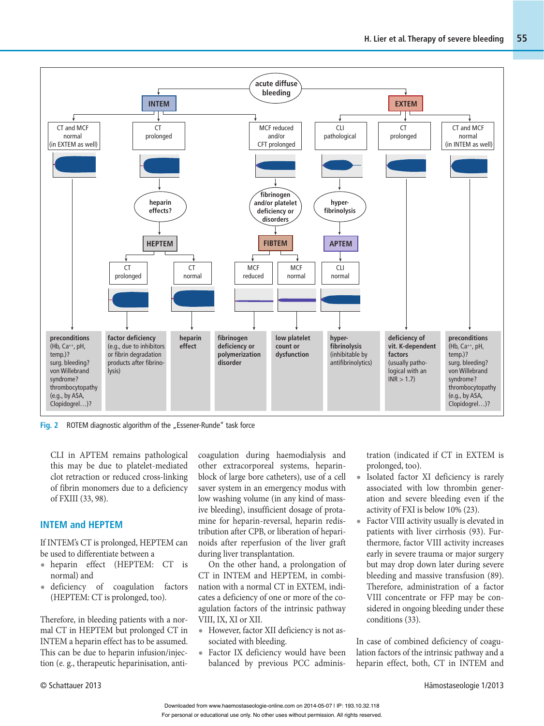

**Fig. 2** ROTEM diagnostic algorithm of the "Essener-Runde" task force

CLI in APTEM remains pathological this may be due to platelet-mediated clot retraction or reduced cross-linking of fibrin monomers due to a deficiency of FXIII (33, 98).

#### **INTEM and HEPTEM**

If INTEM's CT is prolonged, HEPTEM can be used to differentiate between a

- **•** heparin effect (HEPTEM: CT is normal) and
- **•** deficiency of coagulation factors (HEPTEM: CT is prolonged, too).

Therefore, in bleeding patients with a normal CT in HEPTEM but prolonged CT in INTEM a heparin effect has to be assumed. This can be due to heparin infusion/injection (e. g., therapeutic heparinisation, anticoagulation during haemodialysis and other extracorporeal systems, heparinblock of large bore catheters), use of a cell saver system in an emergency modus with low washing volume (in any kind of massive bleeding), insufficient dosage of protamine for heparin-reversal, heparin redistribution after CPB, or liberation of heparinoids after reperfusion of the liver graft during liver transplantation.

On the other hand, a prolongation of CT in INTEM and HEPTEM, in combination with a normal CT in EXTEM, indicates a deficiency of one or more of the coagulation factors of the intrinsic pathway VIII, IX, XI or XII.

- **•** However, factor XII deficiency is not associated with bleeding.
- **•** Factor IX deficiency would have been balanced by previous PCC adminis-

tration (indicated if CT in EXTEM is prolonged, too).

- **•** Isolated factor XI deficiency is rarely associated with low thrombin generation and severe bleeding even if the activity of FXI is below 10% (23).
- **•** Factor VIII activity usually is elevated in patients with liver cirrhosis (93). Furthermore, factor VIII activity increases early in severe trauma or major surgery but may drop down later during severe bleeding and massive transfusion (89). Therefore, administration of a factor VIII concentrate or FFP may be considered in ongoing bleeding under these conditions (33).

In case of combined deficiency of coagulation factors of the intrinsic pathway and a heparin effect, both, CT in INTEM and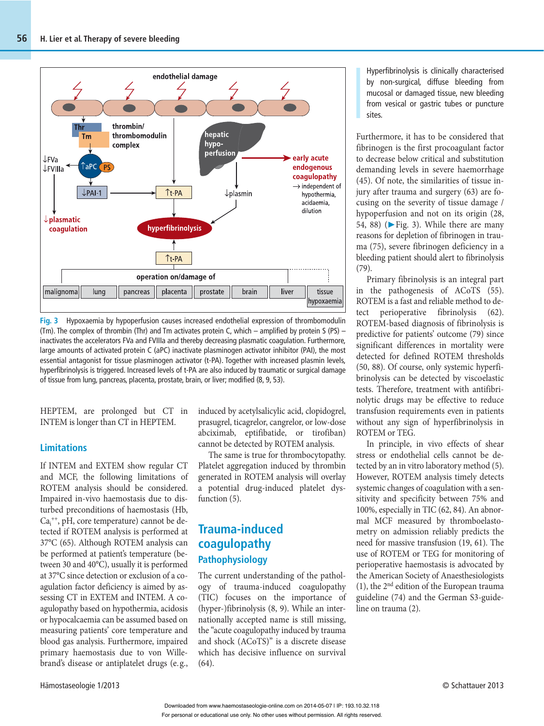

**Fig. 3** Hypoxaemia by hypoperfusion causes increased endothelial expression of thrombomodulin (Tm). The complex of thrombin (Thr) and Tm activates protein C, which – amplified by protein S (PS) – inactivates the accelerators FVa and FVIIIa and thereby decreasing plasmatic coagulation. Furthermore, large amounts of activated protein C (aPC) inactivate plasminogen activator inhibitor (PAI), the most essential antagonist for tissue plasminogen activator (t-PA). Together with increased plasmin levels, hyperfibrinolysis is triggered. Increased levels of t-PA are also induced by traumatic or surgical damage of tissue from lung, pancreas, placenta, prostate, brain, or liver; modified (8, 9, 53).

HEPTEM, are prolonged but CT in INTEM is longer than CT in HEPTEM.

#### **Limitations**

If INTEM and EXTEM show regular CT and MCF, the following limitations of ROTEM analysis should be considered. Impaired in-vivo haemostasis due to disturbed preconditions of haemostasis (Hb, Ca<sub>i</sub><sup>++</sup>, pH, core temperature) cannot be detected if ROTEM analysis is performed at 37°C (65). Although ROTEM analysis can be performed at patient's temperature (between 30 and 40°C), usually it is performed at 37°C since detection or exclusion of a coagulation factor deficiency is aimed by assessing CT in EXTEM and INTEM. A coagulopathy based on hypothermia, acidosis or hypocalcaemia can be assumed based on measuring patients' core temperature and blood gas analysis. Furthermore, impaired primary haemostasis due to von Willebrand's disease or antiplatelet drugs (e. g.,

induced by acetylsalicylic acid, clopidogrel, prasugrel, ticagrelor, cangrelor, or low-dose abciximab, eptifibatide, or tirofiban) cannot be detected by ROTEM analysis.

The same is true for thrombocytopathy. Platelet aggregation induced by thrombin generated in ROTEM analysis will overlay a potential drug-induced platelet dysfunction  $(5)$ .

# **Trauma-induced coagulopathy Pathophysiology**

The current understanding of the pathology of trauma-induced coagulopathy (TIC) focuses on the importance of (hyper-)fibrinolysis (8, 9). While an internationally accepted name is still missing, the "acute coagulopathy induced by trauma and shock (ACoTS)" is a discrete disease which has decisive influence on survival (64).

Hyperfibrinolysis is clinically characterised by non-surgical, diffuse bleeding from mucosal or damaged tissue, new bleeding from vesical or gastric tubes or puncture sites.

Furthermore, it has to be considered that fibrinogen is the first procoagulant factor to decrease below critical and substitution demanding levels in severe haemorrhage (45). Of note, the similarities of tissue injury after trauma and surgery (63) are focusing on the severity of tissue damage / hypoperfusion and not on its origin (28, 54, 88) ( $\blacktriangleright$  Fig. 3). While there are many reasons for depletion of fibrinogen in trauma (75), severe fibrinogen deficiency in a bleeding patient should alert to fibrinolysis (79).

Primary fibrinolysis is an integral part in the pathogenesis of ACoTS (55). ROTEM is a fast and reliable method to detect perioperative fibrinolysis (62). ROTEM-based diagnosis of fibrinolysis is predictive for patients' outcome (79) since significant differences in mortality were detected for defined ROTEM thresholds (50, 88). Of course, only systemic hyperfibrinolysis can be detected by viscoelastic tests. Therefore, treatment with antifibrinolytic drugs may be effective to reduce transfusion requirements even in patients without any sign of hyperfibrinolysis in ROTEM or TEG.

In principle, in vivo effects of shear stress or endothelial cells cannot be detected by an in vitro laboratory method (5). However, ROTEM analysis timely detects systemic changes of coagulation with a sensitivity and specificity between 75% and 100%, especially in TIC (62, 84). An abnormal MCF measured by thromboelastometry on admission reliably predicts the need for massive transfusion (19, 61). The use of ROTEM or TEG for monitoring of perioperative haemostasis is advocated by the American Society of Anaesthesiologists (1), the 2nd edition of the European trauma guideline (74) and the German S3-guideline on trauma (2).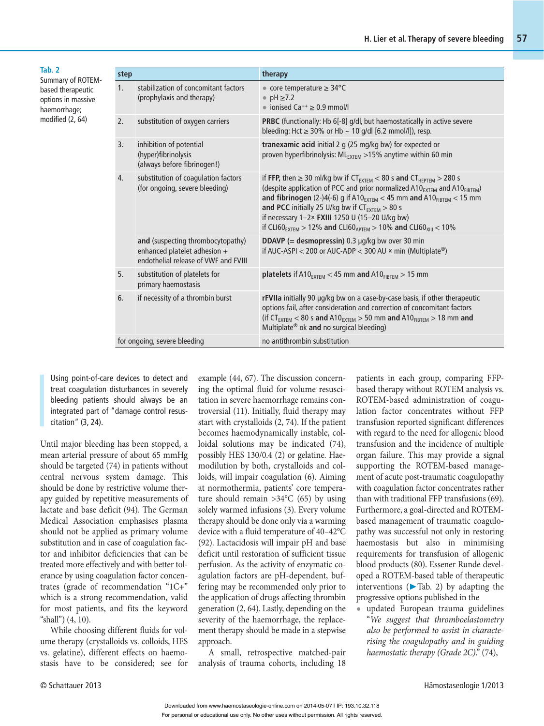| Tab. 2<br>Summary of ROTEM-                             | step |                                                                                                           | therapy                                                                                                                                                                                                                                                                                                                                                                                                                                                                                                            |  |  |
|---------------------------------------------------------|------|-----------------------------------------------------------------------------------------------------------|--------------------------------------------------------------------------------------------------------------------------------------------------------------------------------------------------------------------------------------------------------------------------------------------------------------------------------------------------------------------------------------------------------------------------------------------------------------------------------------------------------------------|--|--|
| based therapeutic<br>options in massive<br>haemorrhage; | 1.   | stabilization of concomitant factors<br>(prophylaxis and therapy)                                         | • core temperature $\geq 34^{\circ}$ C<br>$pH \geq 7.2$<br>• ionised $Ca^{++} \geq 0.9$ mmol/l                                                                                                                                                                                                                                                                                                                                                                                                                     |  |  |
| modified (2, 64)                                        | 2.   | substitution of oxygen carriers                                                                           | <b>PRBC</b> (functionally: Hb 6[-8] g/dl, but haemostatically in active severe<br>bleeding: Hct $\geq$ 30% or Hb $\sim$ 10 g/dl [6.2 mmol/l]), resp.                                                                                                                                                                                                                                                                                                                                                               |  |  |
|                                                         | 3.   | inhibition of potential<br>(hyper)fibrinolysis<br>(always before fibrinogen!)                             | <b>tranexamic acid</b> initial 2 g (25 mg/kg bw) for expected or<br>proven hyperfibrinolysis: ML <sub>EXTEM</sub> > 15% anytime within 60 min                                                                                                                                                                                                                                                                                                                                                                      |  |  |
|                                                         | 4.   | substitution of coagulation factors<br>(for ongoing, severe bleeding)                                     | if FFP, then $\geq$ 30 ml/kg bw if CT <sub>EXTEM</sub> < 80 s and CT <sub>HEPTEM</sub> > 280 s<br>(despite application of PCC and prior normalized $A10_{\text{EXT}EM}$ and $A10_{\text{FIBTEM}}$ )<br>and fibrinogen (2-)4(-6) g if A10 $_{\text{EXTEM}}$ < 45 mm and A10 $_{\text{FIBTEM}}$ < 15 mm<br>and PCC initially 25 U/kg bw if $CT_{EXTEM} > 80$ s<br>if necessary 1-2× FXIII 1250 U (15-20 U/kg bw)<br>if CLI60 <sub>EXTEM</sub> > 12% and CLI60 <sub>APTEM</sub> > 10% and CLI60 <sub>XIII</sub> < 10% |  |  |
|                                                         |      | and (suspecting thrombocytopathy)<br>enhanced platelet adhesion +<br>endothelial release of VWF and FVIII | DDAVP (= desmopressin) 0.3 µg/kg bw over 30 min<br>if AUC-ASPI < 200 or AUC-ADP < 300 AU $\times$ min (Multiplate <sup>®</sup> )                                                                                                                                                                                                                                                                                                                                                                                   |  |  |
|                                                         | 5.   | substitution of platelets for<br>primary haemostasis                                                      | platelets if $A10_{EXTEM}$ < 45 mm and $A10_{FIBTEM}$ > 15 mm                                                                                                                                                                                                                                                                                                                                                                                                                                                      |  |  |
|                                                         | 6.   | if necessity of a thrombin burst                                                                          | rFVIIa initially 90 µg/kg bw on a case-by-case basis, if other therapeutic<br>options fail, after consideration and correction of concomitant factors<br>(if $CT_{EXTEM}$ < 80 s and A10 <sub>EXTEM</sub> > 50 mm and A10 <sub>FIBTEM</sub> > 18 mm and<br>Multiplate <sup>®</sup> ok and no surgical bleeding)                                                                                                                                                                                                    |  |  |
|                                                         |      | for ongoing, severe bleeding                                                                              | no antithrombin substitution                                                                                                                                                                                                                                                                                                                                                                                                                                                                                       |  |  |

Using point-of-care devices to detect and treat coagulation disturbances in severely bleeding patients should always be an integrated part of "damage control resuscitation" (3, 24).

Until major bleeding has been stopped, a mean arterial pressure of about 65 mmHg should be targeted (74) in patients without central nervous system damage. This should be done by restrictive volume therapy guided by repetitive measurements of lactate and base deficit (94). The German Medical Association emphasises plasma should not be applied as primary volume substitution and in case of coagulation factor and inhibitor deficiencies that can be treated more effectively and with better tolerance by using coagulation factor concentrates (grade of recommendation "1C+" which is a strong recommendation, valid for most patients, and fits the keyword "shall") (4, 10).

While choosing different fluids for volume therapy (crystalloids vs. colloids, HES vs. gelatine), different effects on haemostasis have to be considered; see for example (44, 67). The discussion concerning the optimal fluid for volume resuscitation in severe haemorrhage remains controversial (11). Initially, fluid therapy may start with crystalloids (2, 74). If the patient becomes haemodynamically instable, colloidal solutions may be indicated (74), possibly HES 130/0.4 (2) or gelatine. Haemodilution by both, crystalloids and colloids, will impair coagulation (6). Aiming at normothermia, patients' core temperature should remain >34°C (65) by using solely warmed infusions (3). Every volume therapy should be done only via a warming device with a fluid temperature of 40–42°C (92). Lactacidosis will impair pH and base deficit until restoration of sufficient tissue perfusion. As the activity of enzymatic coagulation factors are pH-dependent, buffering may be recommended only prior to the application of drugs affecting thrombin generation (2, 64). Lastly, depending on the severity of the haemorrhage, the replacement therapy should be made in a stepwise approach.

A small, retrospective matched-pair analysis of trauma cohorts, including 18 patients in each group, comparing FFPbased therapy without ROTEM analysis vs. ROTEM-based administration of coagulation factor concentrates without FFP transfusion reported significant differences with regard to the need for allogenic blood transfusion and the incidence of multiple organ failure. This may provide a signal supporting the ROTEM-based management of acute post-traumatic coagulopathy with coagulation factor concentrates rather than with traditional FFP transfusions (69). Furthermore, a goal-directed and ROTEMbased management of traumatic coagulopathy was successful not only in restoring haemostasis but also in minimising requirements for transfusion of allogenic blood products (80). Essener Runde developed a ROTEM-based table of therapeutic interventions ( $\blacktriangleright$  Tab. 2) by adapting the progressive options published in the

**•** updated European trauma guidelines "We suggest that thromboelastometry also be performed to assist in characterising the coagulopathy and in guiding haemostatic therapy (Grade 2C)." (74),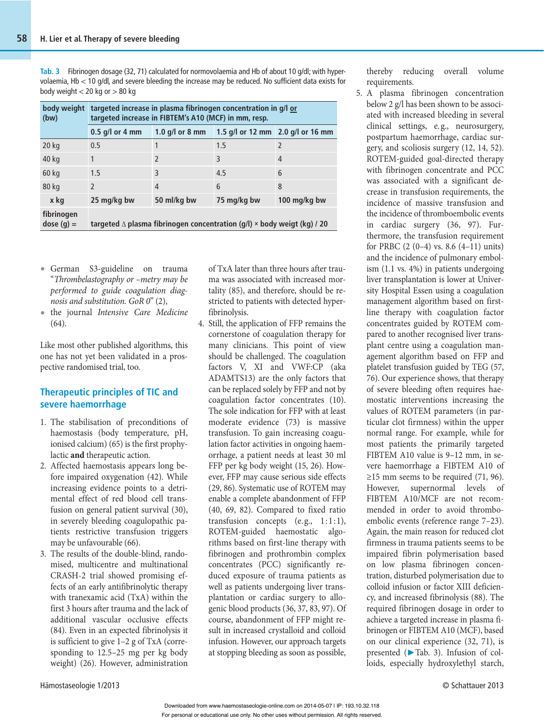**Tab. 3** Fibrinogen dosage (32, 71) calculated for normovolaemia and Hb of about 10 g/dl; with hypervolaemia, Hb < 10 g/dl, and severe bleeding the increase may be reduced. No sufficient data exists for body weight < 20 kg or > 80 kg

| body weight<br>(bw)       | targeted increase in plasma fibrinogen concentration in g/l or<br>targeted increase in FIBTEM's A10 (MCF) in mm, resp. |                   |                                   |                |  |  |  |
|---------------------------|------------------------------------------------------------------------------------------------------------------------|-------------------|-----------------------------------|----------------|--|--|--|
|                           | $0.5$ g/l or 4 mm                                                                                                      | 1.0 $q/l$ or 8 mm | 1.5 g/l or 12 mm 2.0 g/l or 16 mm |                |  |  |  |
| 20 kg                     | 0.5                                                                                                                    |                   | 1.5                               | $\overline{2}$ |  |  |  |
| 40 kg                     | 1                                                                                                                      | $\mathfrak{D}$    | 3                                 | 4              |  |  |  |
| 60 kg                     | 1.5                                                                                                                    | 3                 | 4.5                               | 6              |  |  |  |
| 80 kg                     | $\overline{\phantom{0}}$                                                                                               | $\overline{4}$    | 6                                 | 8              |  |  |  |
| x kg                      | 25 mg/kg bw                                                                                                            | 50 ml/kg bw       | 75 mg/kg bw                       | 100 mg/kg bw   |  |  |  |
| fibrinogen<br>$dose(q) =$ | targeted $\Delta$ plasma fibrinogen concentration (g/l) $\times$ body weigt (kg) / 20                                  |                   |                                   |                |  |  |  |

- **•** German S3-guideline on trauma "Thrombelastography or –metry may be performed to guide coagulation diagnosis and substitution. GoR 0" (2),
- **•** the journal Intensive Care Medicine (64).

Like most other published algorithms, this one has not yet been validated in a prospective randomised trial, too.

#### **Therapeutic principles of TIC and severe haemorrhage**

- 1. The stabilisation of preconditions of haemostasis (body temperature, pH, ionised calcium) (65) is the first prophylactic **and** therapeutic action.
- 2. Affected haemostasis appears long before impaired oxygenation (42). While increasing evidence points to a detrimental effect of red blood cell transfusion on general patient survival (30), in severely bleeding coagulopathic patients restrictive transfusion triggers may be unfavourable (66).
- 3. The results of the double-blind, randomised, multicentre and multinational CRASH-2 trial showed promising effects of an early antifibrinolytic therapy with tranexamic acid (TxA) within the first 3 hours after trauma and the lack of additional vascular occlusive effects (84). Even in an expected fibrinolysis it is sufficient to give 1–2 g of TxA (corresponding to 12.5–25 mg per kg body weight) (26). However, administration

of TxA later than three hours after trauma was associated with increased mortality (85), and therefore, should be restricted to patients with detected hyperfibrinolysis.

4. Still, the application of FFP remains the cornerstone of coagulation therapy for many clinicians. This point of view should be challenged. The coagulation factors V, XI and VWF:CP (aka ADAMTS13) are the only factors that can be replaced solely by FFP and not by coagulation factor concentrates (10). The sole indication for FFP with at least moderate evidence (73) is massive transfusion. To gain increasing coagulation factor activities in ongoing haemorrhage, a patient needs at least 30 ml FFP per kg body weight (15, 26). However, FFP may cause serious side effects (29, 86). Systematic use of ROTEM may enable a complete abandonment of FFP (40, 69, 82). Compared to fixed ratio transfusion concepts  $(e.g., 1:1:1),$ ROTEM-guided haemostatic algorithms based on first-line therapy with fibrinogen and prothrombin complex concentrates (PCC) significantly reduced exposure of trauma patients as well as patients undergoing liver transplantation or cardiac surgery to allogenic blood products (36, 37, 83, 97). Of course, abandonment of FFP might result in increased crystalloid and colloid infusion. However, our approach targets at stopping bleeding as soon as possible,

thereby reducing overall volume requirements.

5. A plasma fibrinogen concentration below 2 g/l has been shown to be associated with increased bleeding in several clinical settings, e.g., neurosurgery, postpartum haemorrhage, cardiac surgery, and scoliosis surgery (12, 14, 52). ROTEM-guided goal-directed therapy with fibrinogen concentrate and PCC was associated with a significant decrease in transfusion requirements, the incidence of massive transfusion and the incidence of thromboembolic events in cardiac surgery (36, 97). Furthermore, the transfusion requirement for PRBC (2 (0–4) vs. 8.6 (4–11) units) and the incidence of pulmonary embolism (1.1 vs. 4%) in patients undergoing liver transplantation is lower at University Hospital Essen using a coagulation management algorithm based on firstline therapy with coagulation factor concentrates guided by ROTEM compared to another recognised liver transplant centre using a coagulation management algorithm based on FFP and platelet transfusion guided by TEG (57, 76). Our experience shows, that therapy of severe bleeding often requires haemostatic interventions increasing the values of ROTEM parameters (in particular clot firmness) within the upper normal range. For example, while for most patients the primarily targeted FIBTEM A10 value is 9–12 mm, in severe haemorrhage a FIBTEM A10 of  $≥15$  mm seems to be required (71, 96). However, supernormal levels of FIBTEM A10/MCF are not recommended in order to avoid thromboembolic events (reference range 7–23). Again, the main reason for reduced clot firmness in trauma patients seems to be impaired fibrin polymerisation based on low plasma fibrinogen concentration, disturbed polymerisation due to colloid infusion or factor XIII deficiency, and increased fibrinolysis (88). The required fibrinogen dosage in order to achieve a targeted increase in plasma fibrinogen or FIBTEM A10 (MCF), based on our clinical experience (32, 71), is presented (▶ Tab. 3). Infusion of colloids, especially hydroxylethyl starch,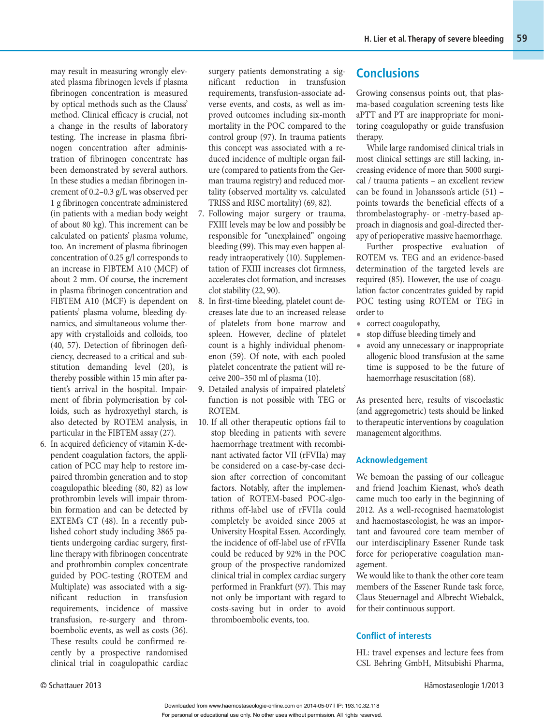may result in measuring wrongly elevated plasma fibrinogen levels if plasma fibrinogen concentration is measured by optical methods such as the Clauss' method. Clinical efficacy is crucial, not a change in the results of laboratory testing. The increase in plasma fibrinogen concentration after administration of fibrinogen concentrate has been demonstrated by several authors. In these studies a median fibrinogen increment of 0.2–0.3 g/L was observed per 1 g fibrinogen concentrate administered (in patients with a median body weight of about 80 kg). This increment can be calculated on patients' plasma volume, too. An increment of plasma fibrinogen concentration of 0.25 g/l corresponds to an increase in FIBTEM A10 (MCF) of about 2 mm. Of course, the increment in plasma fibrinogen concentration and FIBTEM A10 (MCF) is dependent on patients' plasma volume, bleeding dynamics, and simultaneous volume therapy with crystalloids and colloids, too (40, 57). Detection of fibrinogen deficiency, decreased to a critical and substitution demanding level (20), is thereby possible within 15 min after patient's arrival in the hospital. Impairment of fibrin polymerisation by colloids, such as hydroxyethyl starch, is also detected by ROTEM analysis, in particular in the FIBTEM assay (27).

6. In acquired deficiency of vitamin K-dependent coagulation factors, the application of PCC may help to restore impaired thrombin generation and to stop coagulopathic bleeding (80, 82) as low prothrombin levels will impair thrombin formation and can be detected by EXTEM's CT (48). In a recently published cohort study including 3865 patients undergoing cardiac surgery, firstline therapy with fibrinogen concentrate and prothrombin complex concentrate guided by POC-testing (ROTEM and Multiplate) was associated with a significant reduction in transfusion requirements, incidence of massive transfusion, re-surgery and thromboembolic events, as well as costs (36). These results could be confirmed recently by a prospective randomised clinical trial in coagulopathic cardiac

surgery patients demonstrating a significant reduction in transfusion requirements, transfusion-associate adverse events, and costs, as well as improved outcomes including six-month mortality in the POC compared to the control group (97). In trauma patients this concept was associated with a reduced incidence of multiple organ failure (compared to patients from the German trauma registry) and reduced mortality (observed mortality vs. calculated TRISS and RISC mortality) (69, 82).

- 7. Following major surgery or trauma, FXIII levels may be low and possibly be responsible for "unexplained" ongoing bleeding (99). This may even happen already intraoperatively (10). Supplementation of FXIII increases clot firmness, accelerates clot formation, and increases clot stability (22, 90).
- 8. In first-time bleeding, platelet count decreases late due to an increased release of platelets from bone marrow and spleen. However, decline of platelet count is a highly individual phenomenon (59). Of note, with each pooled platelet concentrate the patient will receive 200–350 ml of plasma (10).
- 9. Detailed analysis of impaired platelets' function is not possible with TEG or ROTEM.
- 10. If all other therapeutic options fail to stop bleeding in patients with severe haemorrhage treatment with recombinant activated factor VII (rFVIIa) may be considered on a case-by-case decision after correction of concomitant factors. Notably, after the implementation of ROTEM-based POC-algorithms off-label use of rFVIIa could completely be avoided since 2005 at University Hospital Essen. Accordingly, the incidence of off-label use of rFVIIa could be reduced by 92% in the POC group of the prospective randomized clinical trial in complex cardiac surgery performed in Frankfurt (97). This may not only be important with regard to costs-saving but in order to avoid thromboembolic events, too.

### **Conclusions**

Growing consensus points out, that plasma-based coagulation screening tests like aPTT and PT are inappropriate for monitoring coagulopathy or guide transfusion therapy.

While large randomised clinical trials in most clinical settings are still lacking, increasing evidence of more than 5000 surgical / trauma patients – an excellent review can be found in Johansson's article (51) – points towards the beneficial effects of a thrombelastography- or -metry-based approach in diagnosis and goal-directed therapy of perioperative massive haemorrhage.

Further prospective evaluation of ROTEM vs. TEG and an evidence-based determination of the targeted levels are required (85). However, the use of coagulation factor concentrates guided by rapid POC testing using ROTEM or TEG in order to

- **•** correct coagulopathy,
- **•** stop diffuse bleeding timely and
- **•** avoid any unnecessary or inappropriate allogenic blood transfusion at the same time is supposed to be the future of haemorrhage resuscitation (68).

 As presented here, results of viscoelastic (and aggregometric) tests should be linked to therapeutic interventions by coagulation management algorithms.

#### **Acknowledgement**

We bemoan the passing of our colleague and friend Joachim Kienast, who's death came much too early in the beginning of 2012. As a well-recognised haematologist and haemostaseologist, he was an important and favoured core team member of our interdisciplinary Essener Runde task force for perioperative coagulation management.

We would like to thank the other core team members of the Essener Runde task force, Claus Steuernagel and Albrecht Wiebalck, for their continuous support.

#### **Conflict of interests**

HL: travel expenses and lecture fees from CSL Behring GmbH, Mitsubishi Pharma,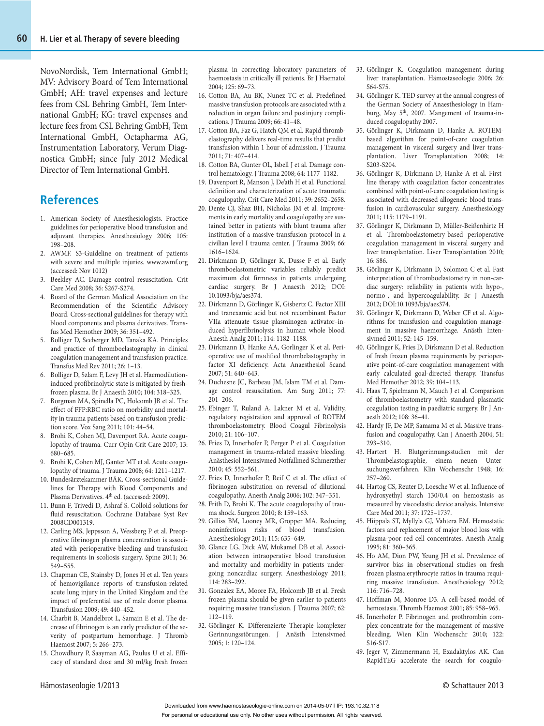NovoNordisk, Tem International GmbH; MV: Advisory Board of Tem International GmbH; AH: travel expenses and lecture fees from CSL Behring GmbH, Tem International GmbH; KG: travel expenses and lecture fees from CSL Behring GmbH, Tem International GmbH, Octapharma AG, Instrumentation Laboratory, Verum Diagnostica GmbH; since July 2012 Medical Director of Tem International GmbH.

### **References**

- 1. American Society of Anesthesiologists. Practice guidelines for perioperative blood transfusion and adjuvant therapies. Anesthesiology 2006; 105: 198–208.
- 2. AWMF. S3-Guideline on treatment of patients with severe and multiple injuries. www.awmf.org (accessed: Nov 1012)
- 3. Beekley AC. Damage control resuscitation. Crit Care Med 2008; 36: S267-S274.
- 4. Board of the German Medical Association on the Recommendation of the Scientific Advisory Board. Cross-sectional guidelines for therapy with blood components and plasma derivatives. Transfus Med Hemother 2009; 36: 351–492.
- 5. Bolliger D, Seeberger MD, Tanaka KA. Principles and practice of thromboelastography in clinical coagulation management and transfusion practice. Transfus Med Rev 2011; 26: 1–13.
- 6. Bolliger D, Szlam F, Levy JH et al. Haemodilutioninduced profibrinolytic state is mitigated by freshfrozen plasma. Br J Anaesth 2010; 104: 318–325.
- 7. Borgman MA, Spinella PC, Holcomb JB et al. The effect of FFP:RBC ratio on morbidity and mortality in trauma patients based on transfusion prediction score. Vox Sang 2011; 101: 44–54.
- 8. Brohi K, Cohen MJ, Davenport RA. Acute coagulopathy of trauma. Curr Opin Crit Care 2007; 13: 680–685.
- 9. Brohi K, Cohen MJ, Ganter MT et al. Acute coagulopathy of trauma. J Trauma 2008; 64: 1211–1217.
- 10. Bundesärztekammer BÄK. Cross-sectional Guidelines for Therapy with Blood Components and Plasma Derivatives. 4<sup>th</sup> ed. (accessed: 2009).
- 11. Bunn F, Trivedi D, Ashraf S. Colloid solutions for fluid resuscitation. Cochrane Database Syst Rev 2008CD001319.
- 12. Carling MS, Jeppsson A, Wessberg P et al. Preoperative fibrinogen plasma concentration is associated with perioperative bleeding and transfusion requirements in scoliosis surgery. Spine 2011; 36: 549–555.
- 13. Chapman CE, Stainsby D, Jones H et al. Ten years of hemovigilance reports of transfusion-related acute lung injury in the United Kingdom and the impact of preferential use of male donor plasma. Transfusion 2009; 49: 440–452.
- 14. Charbit B, Mandelbrot L, Samain E et al. The decrease of fibrinogen is an early predictor of the severity of postpartum hemorrhage. J Thromb Haemost 2007; 5: 266–273.
- 15. Chowdhury P, Saayman AG, Paulus U et al. Efficacy of standard dose and 30 ml/kg fresh frozen

plasma in correcting laboratory parameters of haemostasis in critically ill patients. Br J Haematol 2004; 125: 69–73.

- 16. Cotton BA, Au BK, Nunez TC et al. Predefined massive transfusion protocols are associated with a reduction in organ failure and postinjury complications. J Trauma 2009; 66: 41–48.
- 17. Cotton BA, Faz G, Hatch QM et al. Rapid thrombelastography delivers real-time results that predict transfusion within 1 hour of admission. J Trauma 2011; 71: 407–414.
- 18. Cotton BA, Gunter OL, Isbell J et al. Damage control hematology. J Trauma 2008; 64: 1177–1182.
- 19. Davenport R, Manson J, De'ath H et al. Functional definition and characterization of acute traumatic coagulopathy. Crit Care Med 2011; 39: 2652–2658.
- 20. Dente CJ, Shaz BH, Nicholas JM et al. Improvements in early mortality and coagulopathy are sustained better in patients with blunt trauma after institution of a massive transfusion protocol in a civilian level I trauma center. J Trauma 2009; 66: 1616–1624.
- 21. Dirkmann D, Görlinger K, Dusse F et al. Early thromboelastometric variables reliably predict maximum clot firmness in patients undergoing cardiac surgery. Br J Anaesth 2012; DOI: 10.1093/bja/aes374.
- 22. Dirkmann D, Görlinger K, Gisbertz C. Factor XIII and tranexamic acid but not recombinant Factor VIIa attenuate tissue plasminogen activator–induced hyperfibrinolysis in human whole blood. Anesth Analg 2011; 114: 1182–1188.
- 23. Dirkmann D, Hanke AA, Gorlinger K et al. Perioperative use of modified thrombelastography in factor XI deficiency. Acta Anaesthesiol Scand 2007; 51: 640–643.
- 24. Duchesne JC, Barbeau JM, Islam TM et al. Damage control resuscitation. Am Surg 2011; 77: 201–206.
- 25. Ebinger T, Ruland A, Lakner M et al. Validity, regulatory registration and approval of ROTEM thromboelastometry. Blood Coagul Fibrinolysis 2010; 21: 106–107.
- 26. Fries D, Innerhofer P, Perger P et al. Coagulation management in trauma-related massive bleeding. Anästhesiol Intensivmed Notfallmed Schmerzther 2010; 45: 552–561.
- 27. Fries D, Innerhofer P, Reif C et al. The effect of fibrinogen substitution on reversal of dilutional coagulopathy. Anesth Analg 2006; 102: 347–351.
- 28. Frith D, Brohi K. The acute coagulopathy of trauma shock. Surgeon 2010; 8: 159–163.
- 29. Gilliss BM, Looney MR, Gropper MA. Reducing noninfectious risks of blood transfusion. Anesthesiology 2011; 115: 635–649.
- 30. Glance LG, Dick AW, Mukamel DB et al. Association between intraoperative blood transfusion and mortality and morbidity in patients undergoing noncardiac surgery. Anesthesiology 2011; 114: 283–292.
- 31. Gonzalez EA, Moore FA, Holcomb JB et al. Fresh frozen plasma should be given earlier to patients requiring massive transfusion. J Trauma 2007; 62: 112–119.
- 32. Görlinger K. Differenzierte Therapie komplexer Gerinnungsstörungen. J Anästh Intensivmed 2005; 1: 120–124.
- 33. Görlinger K. Coagulation management during liver transplantation. Hämostaseologie 2006; 26: S64-S75.
- 34. Görlinger K. TED survey at the annual congress of the German Society of Anaesthesiology in Hamburg, May 5<sup>th</sup>, 2007. Mangement of trauma-induced coagulopathy 2007.
- 35. Görlinger K, Dirkmann D, Hanke A. ROTEMbased algorithm for point-of-care coagulation management in visceral surgery and liver transplantation. Liver Transplantation 2008; 14: S203-S204.
- 36. Görlinger K, Dirkmann D, Hanke A et al. Firstline therapy with coagulation factor concentrates combined with point-of-care coagulation testing is associated with decreased allogeneic blood transfusion in cardiovascular surgery. Anesthesiology 2011; 115: 1179–1191.
- 37. Görlinger K, Dirkmann D, Müller-Beißenhirtz H et al. Thromboelastometry-based perioperative coagulation management in visceral surgery and liver transplantation. Liver Transplantation 2010; 16: S86.
- 38. Görlinger K, Dirkmann D, Solomon C et al. Fast interpretation of thromboelastometry in non-cardiac surgery: reliability in patients with hypo-, normo-, and hypercoagulability. Br J Anaesth 2012; DOI:10.1093/bja/aes374.
- 39. Görlinger K, Dirkmann D, Weber CF et al. Algorithms for transfusion and coagulation management in massive haemorrhage. Anästh Intensivmed 2011; 52: 145–159.
- 40. Görlinger K, Fries D, Dirkmann D et al. Reduction of fresh frozen plasma requirements by perioperative point-of-care coagulation management with early calculated goal-directed therapy. Transfus Med Hemother 2012; 39: 104–113.
- 41. Haas T, Spielmann N, Mauch J et al. Comparison of thromboelastometry with standard plasmatic coagulation testing in paediatric surgery. Br J Anaesth 2012; 108: 36–41.
- 42. Hardy JF, De MP, Samama M et al. Massive transfusion and coagulopathy. Can J Anaesth 2004; 51: 293–310.
- 43. Hartert H. Blutgerinnungsstudien mit der Thrombelastographie, einem neuen Untersuchungsverfahren. Klin Wochenschr 1948; 16: 257–260.
- 44. Hartog CS, Reuter D, Loesche W et al. Influence of hydroxyethyl starch 130/0.4 on hemostasis as measured by viscoelastic device analysis. Intensive Care Med 2011; 37: 1725–1737.
- 45. Hiippala ST, Myllyla GJ, Vahtera EM. Hemostatic factors and replacement of major blood loss with plasma-poor red cell concentrates. Anesth Analg 1995; 81: 360–365.
- 46. Ho AM, Dion PW, Yeung JH et al. Prevalence of survivor bias in observational studies on fresh frozen plasma:erythrocyte ratios in trauma requiring massive transfusion. Anesthesiology 2012; 116: 716–728.
- 47. Hoffman M, Monroe D3. A cell-based model of hemostasis. Thromb Haemost 2001; 85: 958–965.
- 48. Innerhofer P. Fibrinogen and prothrombin complex concentrate for the management of massive bleeding. Wien Klin Wochenschr 2010; 122: S16-S17.
- 49. Jeger V, Zimmermann H, Exadaktylos AK. Can RapidTEG accelerate the search for coagulo-